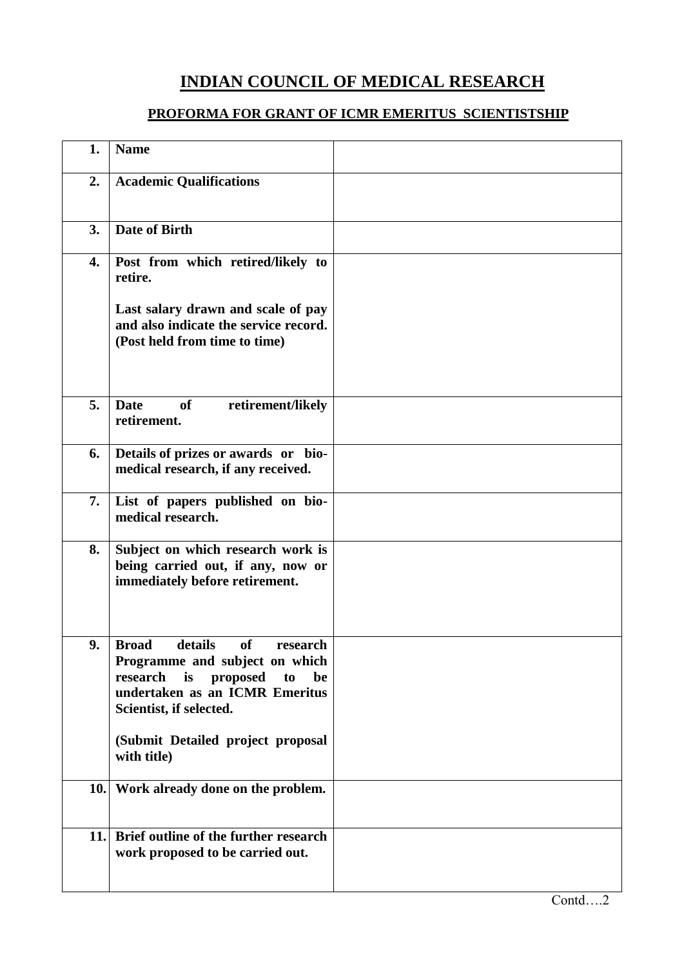## **INDIAN COUNCIL OF MEDICAL RESEARCH**

## **PROFORMA FOR GRANT OF ICMR EMERITUS SCIENTISTSHIP**

| 1.   | <b>Name</b>                                                                                                                                                                            |  |
|------|----------------------------------------------------------------------------------------------------------------------------------------------------------------------------------------|--|
| 2.   | <b>Academic Qualifications</b>                                                                                                                                                         |  |
| 3.   | Date of Birth                                                                                                                                                                          |  |
| 4.   | Post from which retired/likely to<br>retire.                                                                                                                                           |  |
|      | Last salary drawn and scale of pay<br>and also indicate the service record.<br>(Post held from time to time)                                                                           |  |
| 5.   | <b>Date</b><br><b>of</b><br>retirement/likely<br>retirement.                                                                                                                           |  |
| 6.   | Details of prizes or awards or bio-<br>medical research, if any received.                                                                                                              |  |
| 7.   | List of papers published on bio-<br>medical research.                                                                                                                                  |  |
| 8.   | Subject on which research work is<br>being carried out, if any, now or<br>immediately before retirement.                                                                               |  |
| 9.   | details<br><b>Broad</b><br><b>of</b><br>research<br>Programme and subject on which<br>research is<br>proposed<br>to<br>be<br>undertaken as an ICMR Emeritus<br>Scientist, if selected. |  |
|      | (Submit Detailed project proposal<br>with title)                                                                                                                                       |  |
|      | 10. Work already done on the problem.                                                                                                                                                  |  |
| 11.1 | Brief outline of the further research<br>work proposed to be carried out.                                                                                                              |  |